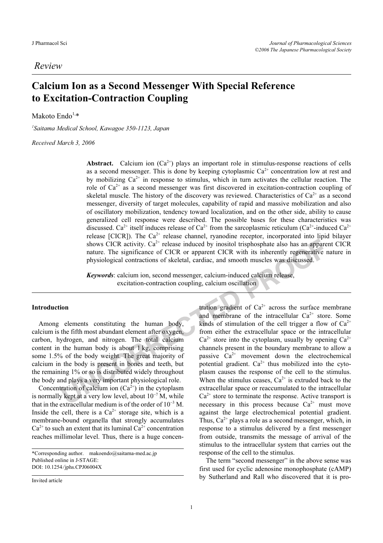# Calcium Ion as a Second Messenger With Special Reference to Excitation-Contraction Coupling

Makoto Endo $1,*$ 

*1* Saitama Medical School, Kawagoe 350-1123, Japan

Received March 3, 2006

Abstract. Calcium ion  $(Ca^{2+})$  plays an important role in stimulus-response reactions of cells as a second messenger. This is done by keeping cytoplasmic  $Ca<sup>2+</sup>$  concentration low at rest and by mobilizing  $Ca^{2+}$  in response to stimulus, which in turn activates the cellular reaction. The role of  $Ca^{2+}$  as a second messenger was first discovered in excitation-contraction coupling of skeletal muscle. The history of the discovery was reviewed. Characteristics of  $Ca^{2+}$  as a second messenger, diversity of target molecules, capability of rapid and massive mobilization and also of oscillatory mobilization, tendency toward localization, and on the other side, ability to cause generalized cell response were described. The possible bases for these characteristics was discussed. Ca<sup>2+</sup> itself induces release of Ca<sup>2+</sup> from the sarcoplasmic reticulum (Ca<sup>2+</sup>-induced Ca<sup>2+</sup>) release [CICR]). The  $Ca^{2+}$  release channel, ryanodine receptor, incorporated into lipid bilayer shows CICR activity.  $Ca^{2+}$  release induced by inositol trisphosphate also has an apparent CICR nature. The significance of CICR or apparent CICR with its inherently regenerative nature in physiological contractions of skeletal, cardiac, and smooth muscles was discussed.

Keywords: calcium ion, second messenger, calcium-induced calcium release, excitation-contraction coupling, calcium oscillation

## Introduction

Among elements constituting the human body, calcium is the fifth most abundant element after oxygen, carbon, hydrogen, and nitrogen. The total calcium content in the human body is about 1 kg, comprising some 1.5% of the body weight. The great majority of calcium in the body is present in bones and teeth, but the remaining 1% or so is distributed widely throughout the body and plays a very important physiological role.

Concentration of calcium ion  $(Ca^{2+})$  in the cytoplasm the body and plays a very important physiological role.<br>Concentration of calcium ion  $(Ca^{2+})$  in the cytoplasm<br>is normally kept at a very low level, about  $10^{-7}$  M, while the body and plays a very important physiological fole.<br>
Concentration of calcium ion  $(Ca^{2+})$  in the cytoplasm<br>
is normally kept at a very low level, about  $10^{-7}$  M, while<br>
that in the extracellular medium is of the ord Inside the cell, there is a  $Ca^{2+}$  storage site, which is a membrane-bound organella that strongly accumulates  $Ca^{2+}$  to such an extent that its luminal  $Ca^{2+}$  concentration reaches millimolar level. Thus, there is a huge concen-

\*Corresponding author. makoendo@saitama-med.ac.jp Published online in J-STAGE: DOI: 10.1254/jphs.CPJ06004X

Invited article

tration gradient of  $Ca^{2+}$  across the surface membrane and membrane of the intracellular  $Ca^{2+}$  store. Some kinds of stimulation of the cell trigger a flow of  $Ca^{2+}$ from either the extracellular space or the intracellular  $Ca^{2+}$  store into the cytoplasm, usually by opening  $Ca^{2+}$ channels present in the boundary membrane to allow a passive  $Ca^{2+}$  movement down the electrochemical potential gradient.  $Ca^{2+}$  thus mobilized into the cytoplasm causes the response of the cell to the stimulus. When the stimulus ceases,  $Ca^{2+}$  is extruded back to the extracellular space or reaccumulated to the intracellular  $Ca<sup>2+</sup>$  store to terminate the response. Active transport is necessary in this process because  $Ca^{2+}$  must move against the large electrochemical potential gradient. Thus,  $Ca^{2+}$  plays a role as a second messenger, which, in response to a stimulus delivered by a first messenger from outside, transmits the message of arrival of the stimulus to the intracellular system that carries out the response of the cell to the stimulus.

The term "second messenger" in the above sense was first used for cyclic adenosine monophosphate (cAMP) by Sutherland and Rall who discovered that it is pro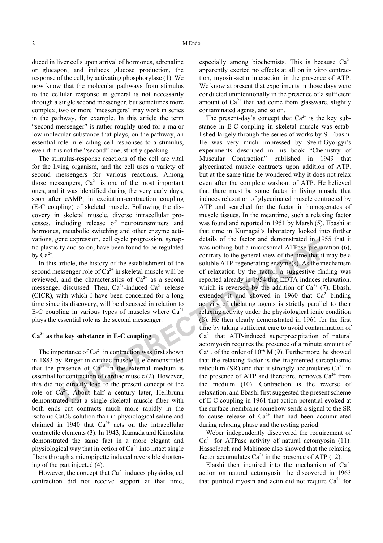duced in liver cells upon arrival of hormones, adrenaline or glucagon, and induces glucose production, the response of the cell, by activating phosphorylase (1). We now know that the molecular pathways from stimulus to the cellular response in general is not necessarily through a single second messenger, but sometimes more complex; two or more "messengers" may work in series in the pathway, for example. In this article the term "second messenger" is rather roughly used for a major low molecular substance that plays, on the pathway, an essential role in eliciting cell responses to a stimulus, even if it is not the "second" one, strictly speaking.

The stimulus-response reactions of the cell are vital for the living organism, and the cell uses a variety of second messengers for various reactions. Among those messengers,  $Ca^{2+}$  is one of the most important ones, and it was identified during the very early days, soon after cAMP, in excitation-contraction coupling (E-C coupling) of skeletal muscle. Following the discovery in skeletal muscle, diverse intracellular processes, including release of neurotransmitters and hormones, metabolic switching and other enzyme activations, gene expression, cell cycle progression, synaptic plasticity and so on, have been found to be regulated by  $Ca^{2+}$ .

In this article, the history of the establishment of the second messenger role of  $Ca^{2+}$  in skeletal muscle will be reviewed, and the characteristics of  $Ca^{2+}$  as a second messenger discussed. Then,  $Ca^{2+}$ -induced  $Ca^{2+}$  release (CICR), with which I have been concerned for a long time since its discovery, will be discussed in relation to E-C coupling in various types of muscles where  $Ca^{2+}$ plays the essential role as the second messenger.

### $Ca<sup>2+</sup>$  as the key substance in E-C coupling

The importance of  $Ca^{2+}$  in contraction was first shown in 1883 by Ringer in cardiac muscle. He demonstrated that the presence of  $Ca^{2+}$  in the external medium is essential for contraction of cardiac muscle (2). However, this did not directly lead to the present concept of the role of  $Ca^{2+}$ . About half a century later, Heilbrunn demonstrated that a single skeletal muscle fiber with both ends cut contracts much more rapidly in the isotonic CaCl<sub>2</sub> solution than in physiological saline and claimed in 1940 that  $Ca^{2+}$  acts on the intracellular contractile elements (3). In 1943, Kamada and Kinoshita demonstrated the same fact in a more elegant and physiological way that injection of  $Ca^{2+}$  into intact single fibers through a micropipette induced reversible shortening of the part injected (4).

However, the concept that  $Ca^{2+}$  induces physiological contraction did not receive support at that time, especially among biochemists. This is because  $Ca^{2+}$ apparently exerted no effects at all on in vitro contraction, myosin-actin interaction in the presence of ATP. We know at present that experiments in those days were conducted unintentionally in the presence of a sufficient amount of  $Ca^{2+}$  that had come from glassware, slightly contaminated agents, and so on.

The present-day's concept that  $Ca^{2+}$  is the key substance in E-C coupling in skeletal muscle was established largely through the series of works by S. Ebashi. He was very much impressed by Szent-Gyorgyi's experiments described in his book "Chemistry of Muscular Contraction" published in 1949 that glycerinated muscle contracts upon addition of ATP, but at the same time he wondered why it does not relax even after the complete washout of ATP. He believed that there must be some factor in living muscle that induces relaxation of glycerinated muscle contracted by ATP and searched for the factor in homogenates of muscle tissues. In the meantime, such a relaxing factor was found and reported in 1951 by Marsh (5). Ebashi at that time in Kumagai's laboratory looked into further details of the factor and demonstrated in 1955 that it was nothing but a microsomal ATPase preparation (6), contrary to the general view of the time that it may be a soluble ATP-regenerating enzyme(s). As the mechanism of relaxation by the factor, a suggestive finding was reported already in 1954 that EDTA induces relaxation, which is reversed by the addition of  $Ca^{2+}$  (7). Ebashi extended it and showed in 1960 that  $Ca^{2+}$ -binding activity of chelating agents is strictly parallel to their relaxing activity under the physiological ionic condition (8). He then clearly demonstrated in 1961 for the first time by taking sufficient care to avoid contamination of  $Ca<sup>2+</sup>$  that ATP-induced superprecipitation of natural actomyosin requires the presence of a minute amount of  $Ca^{2+}$ , of the order of 10<sup>-6</sup> M (9). Furthermore, he showed that the relaxing factor is the fragmented sarcoplasmic reticulum (SR) and that it strongly accumulates  $Ca^{2+}$  in the presence of ATP and therefore, removes  $Ca^{2+}$  from the medium (10). Contraction is the reverse of relaxation, and Ebashi first suggested the present scheme of E-C coupling in 1961 that action potential evoked at the surface membrane somehow sends a signal to the SR to cause release of  $Ca^{2+}$  that had been accumulated during relaxing phase and the resting period.

Weber independently discovered the requirement of  $Ca^{2+}$  for ATPase activity of natural actomyosin (11). Hasselbach and Makinose also showed that the relaxing factor accumulates  $Ca^{2+}$  in the presence of ATP (12).

Ebashi then inquired into the mechanism of  $Ca^{2+}$ action on natural actomyosin: he discovered in 1963 that purified myosin and actin did not require  $Ca^{2+}$  for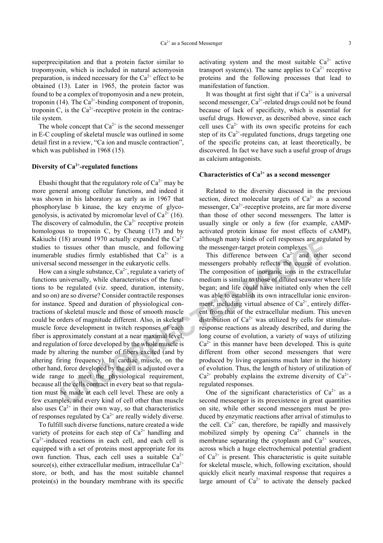superprecipitation and that a protein factor similar to tropomyosin, which is included in natural actomyosin preparation, is indeed necessary for the  $Ca^{2+}$  effect to be obtained (13). Later in 1965, the protein factor was found to be a complex of tropomyosin and a new protein, troponin (14). The  $Ca^{2+}$ -binding component of troponin, troponin C, is the  $Ca^{2+}$ -receptive protein in the contractile system.

The whole concept that  $Ca^{2+}$  is the second messenger in E-C coupling of skeletal muscle was outlined in some detail first in a review, "Ca ion and muscle contraction", which was published in 1968 (15).

## Diversity of  $Ca^{2+}$ -regulated functions

Ebashi thought that the regulatory role of  $Ca^{2+}$  may be more general among cellular functions, and indeed it was shown in his laboratory as early as in 1967 that phosphorylase b kinase, the key enzyme of glycogenolysis, is activated by micromolar level of  $Ca^{2+}(16)$ . The discovery of calmodulin, the  $Ca^{2+}$  receptive protein homologous to troponin C, by Cheung (17) and by Kakiuchi (18) around 1970 actually expanded the  $Ca^{2+}$ studies to tissues other than muscle, and following inumerable studies firmly established that  $Ca^{2+}$  is a universal second messenger in the eukaryotic cells.

How can a single substance,  $Ca^{2+}$ , regulate a variety of functions universally, while characteristics of the functions to be regulated (viz. speed, duration, intensity, and so on) are so diverse? Consider contractile responses for instance. Speed and duration of physiological contractions of skeletal muscle and those of smooth muscle could be orders of magnitude different. Also, in skeletal muscle force development in twitch responses of each fiber is approximately constant at a near maximal level, and regulation of force developed by the whole muscle is made by altering the number of fibers excited (and by altering firing frequency). In cardiac muscle, on the other hand, force developed by the cell is adjusted over a wide range to meet the physiological requirement, because all the cells contract in every beat so that regulation must be made at each cell level. These are only a few examples, and every kind of cell other than muscle also uses  $Ca^{2+}$  in their own way, so that characteristics of responses regulated by  $Ca^{2+}$  are really widely diverse.

To fulfill such diverse functions, nature created a wide variety of proteins for each step of  $Ca^{2+}$  handling and  $Ca<sup>2+</sup>$ -induced reactions in each cell, and each cell is equipped with a set of proteins most appropriate for its own function. Thus, each cell uses a suitable  $Ca^{2+}$ source(s), either extracellular medium, intracellular  $Ca^{2+}$ store, or both, and has the most suitable channel protein(s) in the boundary membrane with its specific

activating system and the most suitable  $Ca^{2+}$  active transport system(s). The same applies to  $Ca^{2+}$  receptive proteins and the following processes that lead to manifestation of function.

It was thought at first sight that if  $Ca^{2+}$  is a universal second messenger,  $Ca^{2+}$ -related drugs could not be found because of lack of specificity, which is essential for useful drugs. However, as described above, since each cell uses  $Ca^{2+}$  with its own specific proteins for each step of its  $Ca^{2+}$ -regulated functions, drugs targeting one of the specific proteins can, at least theoretically, be discovered. In fact we have such a useful group of drugs as calcium antagonists.

## Characteristics of  $Ca^{2+}$  as a second messenger

Related to the diversity discussed in the previous section, direct molecular targets of  $Ca^{2+}$  as a second messenger,  $Ca^{2+}$ -receptive proteins, are far more diverse than those of other second messengers. The latter is usually single or only a few (for example, cAMPactivated protein kinase for most effects of cAMP), although many kinds of cell responses are regulated by the messenger-target protein complexes.

This difference between  $Ca^{2+}$  and other second messengers probably reflects the course of evolution. The composition of inorganic ions in the extracellular medium is similar to those of diluted seawater where life began; and life could have initiated only when the cell was able to establish its own intracellular ionic environment, including virtual absence of  $Ca^{2+}$ , entirely different from that of the extracellular medium. This uneven distribution of  $Ca^{2+}$  was utilized by cells for stimulusresponse reactions as already described, and during the long course of evolution, a variety of ways of utilizing  $Ca<sup>2+</sup>$  in this manner have been developed. This is quite different from other second messengers that were produced by living organisms much later in the history of evolution. Thus, the length of history of utilization of  $Ca^{2+}$  probably explains the extreme diversity of  $Ca^{2+}$ regulated responses.

One of the significant characteristics of  $Ca^{2+}$  as a second messenger is its preexistence in great quantities on site, while other second messengers must be produced by enzymatic reactions after arrival of stimulus to the cell.  $Ca^{2+}$  can, therefore, be rapidly and massively mobilized simply by opening  $Ca^{2+}$  channels in the membrane separating the cytoplasm and  $Ca^{2+}$  sources, across which a huge electrochemical potential gradient of  $Ca^{2+}$  is present. This characteristic is quite suitable for skeletal muscle, which, following excitation, should quickly elicit nearly maximal response that requires a large amount of  $Ca^{2+}$  to activate the densely packed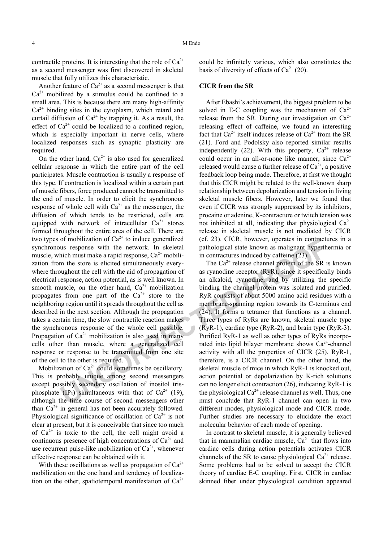contractile proteins. It is interesting that the role of  $Ca^{2+}$ as a second messenger was first discovered in skeletal muscle that fully utilizes this characteristic.

Another feature of  $Ca^{2+}$  as a second messenger is that  $Ca<sup>2+</sup>$  mobilized by a stimulus could be confined to a small area. This is because there are many high-affinity  $Ca<sup>2+</sup>$  binding sites in the cytoplasm, which retard and curtail diffusion of  $Ca^{2+}$  by trapping it. As a result, the effect of  $Ca^{2+}$  could be localized to a confined region, which is especially important in nerve cells, where localized responses such as synaptic plasticity are required.

On the other hand,  $Ca^{2+}$  is also used for generalized cellular response in which the entire part of the cell participates. Muscle contraction is usually a response of this type. If contraction is localized within a certain part of muscle fibers, force produced cannot be transmitted to the end of muscle. In order to elicit the synchronous response of whole cell with  $Ca^{2+}$  as the messenger, the diffusion of which tends to be restricted, cells are equipped with network of intracellular  $Ca^{2+}$  stores formed throughout the entire area of the cell. There are two types of mobilization of  $Ca^{2+}$  to induce generalized synchronous response with the network. In skeletal muscle, which must make a rapid response,  $Ca^{2+}$  mobilization from the store is elicited simultaneously everywhere throughout the cell with the aid of propagation of electrical response, action potential, as is well known. In smooth muscle, on the other hand,  $Ca^{2+}$  mobilization propagates from one part of the  $Ca^{2+}$  store to the neighboring region until it spreads throughout the cell as described in the next section. Although the propagation takes a certain time, the slow contractile reaction makes the synchronous response of the whole cell possible. Propagation of  $Ca^{2+}$  mobilization is also used in many cells other than muscle, where a generalized cell response or response to be transmitted from one site of the cell to the other is required.

Mobilization of  $Ca^{2+}$  could sometimes be oscillatory. This is probably unique among second messengers except possibly secondary oscillation of inositol trisphosphate  $(\text{IP}_3)$  simultaneous with that of Ca<sup>2+</sup> (19), although the time course of second messengers other than  $Ca^{2+}$  in general has not been accurately followed. Physiological significance of oscillation of  $Ca^{2+}$  is not clear at present, but it is conceivable that since too much of  $Ca^{2+}$  is toxic to the cell, the cell might avoid a continuous presence of high concentrations of  $Ca^{2+}$  and use recurrent pulse-like mobilization of  $Ca^{2+}$ , whenever effective response can be obtained with it.

With these oscillations as well as propagation of  $Ca^{2+}$ mobilization on the one hand and tendency of localization on the other, spatiotemporal manifestation of  $Ca^{2+}$  could be infinitely various, which also constitutes the basis of diversity of effects of  $Ca^{2+}$  (20).

## CICR from the SR

After Ebashi's achievement, the biggest problem to be solved in E-C coupling was the mechanism of  $Ca^{2+}$ release from the SR. During our investigation on  $Ca^{2+}$ releasing effect of caffeine, we found an interesting fact that  $Ca^{2+}$  itself induces release of  $Ca^{2+}$  from the SR (21). Ford and Podolsky also reported similar results independently (22). With this property,  $Ca^{2+}$  release could occur in an all-or-none like manner, since  $Ca^{2+}$ released would cause a further release of  $Ca^{2+}$ , a positive feedback loop being made. Therefore, at first we thought that this CICR might be related to the well-known sharp relationship between depolarization and tension in living skeletal muscle fibers. However, later we found that even if CICR was strongly suppressed by its inhibitors, procaine or adenine, K-contracture or twitch tension was not inhibited at all, indicating that physiological  $Ca^{2+}$ release in skeletal muscle is not mediated by CICR (cf. 23). CICR, however, operates in contractures in a pathological state known as malignant hyperthermia or in contractures induced by caffeine (23).

The  $Ca^{2+}$  release channel protein of the SR is known as ryanodine receptor (RyR), since it specifically binds an alkaloid, ryanodine, and by utilizing the specific binding the channel protein was isolated and purified. RyR consists of about 5000 amino acid residues with a membrane-spanning region towards its C-terminus end (24). It forms a tetramer that functions as a channel. Three types of RyRs are known, skeletal muscle type  $(RyR-1)$ , cardiac type (RyR-2), and brain type (RyR-3). Purified RyR-1 as well as other types of RyRs incorporated into lipid bilayer membrane shows  $Ca<sup>2+</sup>$ -channel activity with all the properties of CICR (25). RyR-1, therefore, is a CICR channel. On the other hand, the skeletal muscle of mice in which RyR-1 is knocked out, action potential or depolarization by K-rich solutions can no longer elicit contraction (26), indicating RyR-1 is the physiological  $Ca^{2+}$  release channel as well. Thus, one must conclude that RyR-1 channel can open in two different modes, physiological mode and CICR mode. Further studies are necessary to elucidate the exact molecular behavior of each mode of opening.

In contrast to skeletal muscle, it is generally believed that in mammalian cardiac muscle,  $Ca^{2+}$  that flows into cardiac cells during action potentials activates CICR channels of the SR to cause physiological  $Ca^{2+}$  release. Some problems had to be solved to accept the CICR theory of cardiac E-C coupling. First, CICR in cardiac skinned fiber under physiological condition appeared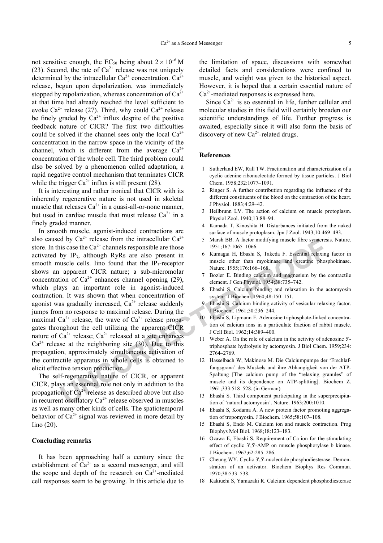not sensitive enough, the EC<sub>50</sub> being about  $2 \times 10^{-6}$  M (23). Second, the rate of  $Ca^{2+}$  release was not uniquely determined by the intracellular  $Ca^{2+}$  concentration.  $Ca^{2+}$ release, begun upon depolarization, was immediately stopped by repolarization, whereas concentration of  $Ca^{2+}$ at that time had already reached the level sufficient to evoke  $Ca^{2+}$  release (27). Third, why could  $Ca^{2+}$  release be finely graded by  $Ca^{2+}$  influx despite of the positive feedback nature of CICR? The first two difficulties could be solved if the channel sees only the local  $Ca^{2+}$ concentration in the narrow space in the vicinity of the channel, which is different from the average  $Ca^{2+}$ concentration of the whole cell. The third problem could also be solved by a phenomenon called adaptation, a rapid negative control mechanism that terminates CICR while the trigger  $Ca^{2+}$  influx is still present (28).

It is interesting and rather ironical that CICR with its inherently regenerative nature is not used in skeletal muscle that releases  $Ca^{2+}$  in a quasi-all-or-none manner, but used in cardiac muscle that must release  $Ca^{2+}$  in a finely graded manner.

In smooth muscle, agonist-induced contractions are also caused by  $Ca^{2+}$  release from the intracellular  $Ca^{2+}$ store. In this case the  $Ca^{2+}$  channels responsible are those activated by  $IP_3$ , although RyRs are also present in smooth muscle cells. Iino found that the  $IP_3$ -receptor shows an apparent CICR nature; a sub-micromolar concentration of  $Ca^{2+}$  enhances channel opening (29), which plays an important role in agonist-induced contraction. It was shown that when concentration of agonist was gradually increased,  $Ca^{2+}$  release suddenly jumps from no response to maximal release. During the maximal  $Ca^{2+}$  release, the wave of  $Ca^{2+}$  release propagates throughout the cell utilizing the apparent CICR nature of  $Ca^{2+}$  release;  $Ca^{2+}$  released at a site enhances  $Ca^{2+}$  release at the neighboring site (30). Due to this propagation, approximately simultaneous activation of the contractile apparatus in whole cells is obtained to elicit effective tension production.

The self-regenerative nature of CICR, or apparent CICR, plays an essential role not only in addition to the propagation of  $Ca^{2+}$  release as described above but also in recurrent oscillatory  $Ca^{2+}$  release observed in muscles as well as many other kinds of cells. The spatiotemporal behavior of  $Ca^{2+}$  signal was reviewed in more detail by Iino (20).

## Concluding remarks

It has been approaching half a century since the establishment of  $Ca^{2+}$  as a second messenger, and still the scope and depth of the research on  $Ca^{2+}$ -mediated cell responses seem to be growing. In this article due to

the limitation of space, discussions with somewhat detailed facts and considerations were confined to muscle, and weight was given to the historical aspect. However, it is hoped that a certain essential nature of  $Ca<sup>2+</sup>$ -mediated responses is expressed here.

Since  $Ca^{2+}$  is so essential in life, further cellular and molecular studies in this field will certainly broaden our scientific understandings of life. Further progress is awaited, especially since it will also form the basis of discovery of new  $Ca^{2+}$ -related drugs.

#### References

- 1 Sutherland EW, Rall TW. Fractionation and characterization of a cyclic adenine ribonucleotide formed by tissue particles. J Biol Chem. 1958;232:1077–1091.
- 2 Ringer S. A further contribution regarding the influence of the different constituents of the blood on the contraction of the heart. J Physiol. 1883;4:29–42.
- 3 Heilbrunn LV. The action of calcium on muscle protoplasm. Physiol Zool. 1940;13:88–94.
- 4 Kamada T, Kinoshita H. Disturbances initiated from the naked surface of muscle protoplasm. Jpn J Zool. 1943;10:469–493.
- 5 Marsh BB. A factor modifying muscle fibre synaeresis. Nature. 1951;167:1065–1066.
- 6 Kumagai H, Ebashi S, Takeda F. Essential relaxing factor in muscle other than myokinase and creatine phosphokinase. Nature. 1955;176:166–168.
- 7 Bozler E. Binding calcium and magnesium by the contractile element. J Gen Physiol. 1954;38:735–742.
- 8 Ebashi S. Calcium binding and relaxation in the actomyosin system. J Biochem. 1960;48:150–151.
- 9 Ebashi S. Calcium binding activity of vesicular relaxing factor. J Biochem. 1961;50:236–244.
- 10 Ebashi S, Lipmann F. Adenosine triphosphate-linked concentration of calcium ions in a particulate fraction of rabbit muscle. J Cell Biol. 1962;14:389–400.
- 11 Weber A. On the role of calcium in the activity of adenosine 5' triphosphate hydrolysis by actomyosin. J Biol Chem. 1959;234: 2764–2769.
- 12 Hasselbach W, Makinose M. Die Calciumpumpe der 'Erschlaffungsgrana' des Muskels und ihre Abhangigkeit von der ATP-Spaltung [The calcium pump of the "relaxing granules" of muscle and its dependence on ATP-splitting]. Biochem Z. 1961;333:518–528. (in German)
- 13 Ebashi S. Third component participating in the superprecipitation of 'natural actomyosin'. Nature. 1963;200:1010.
- 14 Ebashi S, Kodama A. A new protein factor promoting aggregation of tropomyosin. J Biochem. 1965;58:107–108.
- 15 Ebashi S, Endo M. Calcium ion and muscle contraction. Prog Biophys Mol Biol. 1968;18:123–183.
- 16 Ozawa E, Ebashi S. Requirement of Ca ion for the stimulating effect of cyclic 3',5'-AMP on muscle phosphorylase b kinase. J Biochem. 1967;62:285–286.
- 17 Cheung WY. Cyclic 3',5'-nucleotide phosphodiesterase. Demonstration of an activator. Biochem Biophys Res Commun. 1970;38:533–538.
- 18 Kakiuchi S, Yamazaki R. Calcium dependent phosphodiesterase